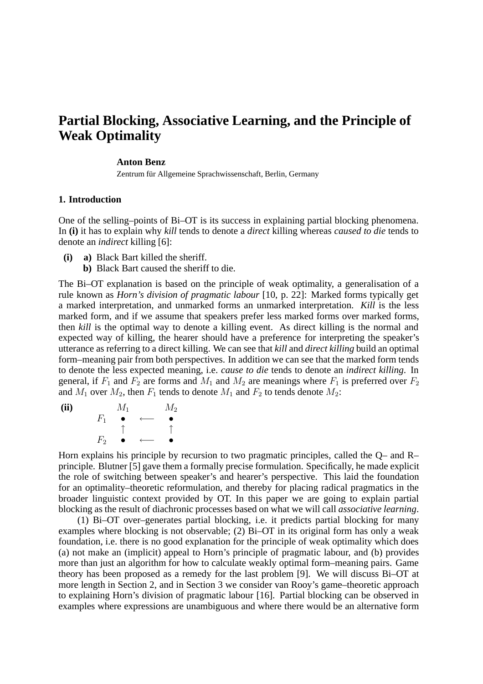# **Partial Blocking, Associative Learning, and the Principle of Weak Optimality**

#### **Anton Benz**

Zentrum für Allgemeine Sprachwissenschaft, Berlin, Germany

### **1. Introduction**

One of the selling–points of Bi–OT is its success in explaining partial blocking phenomena. In **(i)** it has to explain why *kill* tends to denote a *direct* killing whereas *caused to die* tends to denote an *indirect* killing [6]:

- **(i) a)** Black Bart killed the sheriff.
	- **b)** Black Bart caused the sheriff to die.

The Bi–OT explanation is based on the principle of weak optimality, a generalisation of a rule known as *Horn's division of pragmatic labour* [10, p. 22]: Marked forms typically get a marked interpretation, and unmarked forms an unmarked interpretation. *Kill* is the less marked form, and if we assume that speakers prefer less marked forms over marked forms, then *kill* is the optimal way to denote a killing event. As direct killing is the normal and expected way of killing, the hearer should have a preference for interpreting the speaker's utterance as referring to a direct killing. We can see that *kill* and *direct killing* build an optimal form–meaning pair from both perspectives. In addition we can see that the marked form tends to denote the less expected meaning, i.e. *cause to die* tends to denote an *indirect killing*. In general, if  $F_1$  and  $F_2$  are forms and  $M_1$  and  $M_2$  are meanings where  $F_1$  is preferred over  $F_2$ and  $M_1$  over  $M_2$ , then  $F_1$  tends to denote  $M_1$  and  $F_2$  to tends denote  $M_2$ :

**(ii)**  $M_1$   $M_2$  $F_1$  • ← • ↑ ↑  $F_2$  • ← •

Horn explains his principle by recursion to two pragmatic principles, called the Q– and R– principle. Blutner [5] gave them a formally precise formulation. Specifically, he made explicit the role of switching between speaker's and hearer's perspective. This laid the foundation for an optimality–theoretic reformulation, and thereby for placing radical pragmatics in the broader linguistic context provided by OT. In this paper we are going to explain partial blocking as the result of diachronic processes based on what we will call *associative learning*.

(1) Bi–OT over–generates partial blocking, i.e. it predicts partial blocking for many examples where blocking is not observable; (2) Bi–OT in its original form has only a weak foundation, i.e. there is no good explanation for the principle of weak optimality which does (a) not make an (implicit) appeal to Horn's principle of pragmatic labour, and (b) provides more than just an algorithm for how to calculate weakly optimal form–meaning pairs. Game theory has been proposed as a remedy for the last problem [9]. We will discuss Bi–OT at more length in Section 2, and in Section 3 we consider van Rooy's game–theoretic approach to explaining Horn's division of pragmatic labour [16]. Partial blocking can be observed in examples where expressions are unambiguous and where there would be an alternative form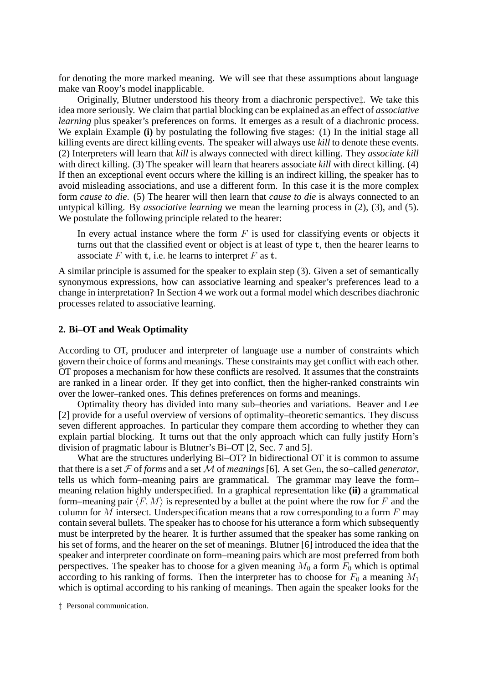for denoting the more marked meaning. We will see that these assumptions about language make van Rooy's model inapplicable.

Originally, Blutner understood his theory from a diachronic perspective‡. We take this idea more seriously. We claim that partial blocking can be explained as an effect of *associative learning* plus speaker's preferences on forms. It emerges as a result of a diachronic process. We explain Example **(i)** by postulating the following five stages: (1) In the initial stage all killing events are direct killing events. The speaker will always use *kill* to denote these events. (2) Interpreters will learn that *kill* is always connected with direct killing. They *associate kill* with direct killing. (3) The speaker will learn that hearers associate *kill* with direct killing. (4) If then an exceptional event occurs where the killing is an indirect killing, the speaker has to avoid misleading associations, and use a different form. In this case it is the more complex form *cause to die*. (5) The hearer will then learn that *cause to die* is always connected to an untypical killing. By *associative learning* we mean the learning process in (2), (3), and (5). We postulate the following principle related to the hearer:

In every actual instance where the form  $F$  is used for classifying events or objects it turns out that the classified event or object is at least of type **t**, then the hearer learns to associate F with **t**, i.e. he learns to interpret F as **t**.

A similar principle is assumed for the speaker to explain step (3). Given a set of semantically synonymous expressions, how can associative learning and speaker's preferences lead to a change in interpretation? In Section 4 we work out a formal model which describes diachronic processes related to associative learning.

#### **2. Bi–OT and Weak Optimality**

According to OT, producer and interpreter of language use a number of constraints which govern their choice of forms and meanings. These constraints may get conflict with each other. OT proposes a mechanism for how these conflicts are resolved. It assumes that the constraints are ranked in a linear order. If they get into conflict, then the higher-ranked constraints win over the lower–ranked ones. This defines preferences on forms and meanings.

Optimality theory has divided into many sub–theories and variations. Beaver and Lee [2] provide for a useful overview of versions of optimality–theoretic semantics. They discuss seven different approaches. In particular they compare them according to whether they can explain partial blocking. It turns out that the only approach which can fully justify Horn's division of pragmatic labour is Blutner's Bi–OT [2, Sec. 7 and 5].

What are the structures underlying  $Bi-OT$ ? In bidirectional OT it is common to assume that there is a set  $\mathcal F$  of *forms* and a set  $\mathcal M$  of *meanings* [6]. A set Gen, the so–called *generator*, tells us which form–meaning pairs are grammatical. The grammar may leave the form– meaning relation highly underspecified. In a graphical representation like **(ii)** a grammatical form–meaning pair  $\langle F, M \rangle$  is represented by a bullet at the point where the row for F and the column for M intersect. Underspecification means that a row corresponding to a form  $F$  may contain several bullets. The speaker has to choose for his utterance a form which subsequently must be interpreted by the hearer. It is further assumed that the speaker has some ranking on his set of forms, and the hearer on the set of meanings. Blutner [6] introduced the idea that the speaker and interpreter coordinate on form–meaning pairs which are most preferred from both perspectives. The speaker has to choose for a given meaning  $M_0$  a form  $F_0$  which is optimal according to his ranking of forms. Then the interpreter has to choose for  $F_0$  a meaning  $M_1$ which is optimal according to his ranking of meanings. Then again the speaker looks for the

‡ Personal communication.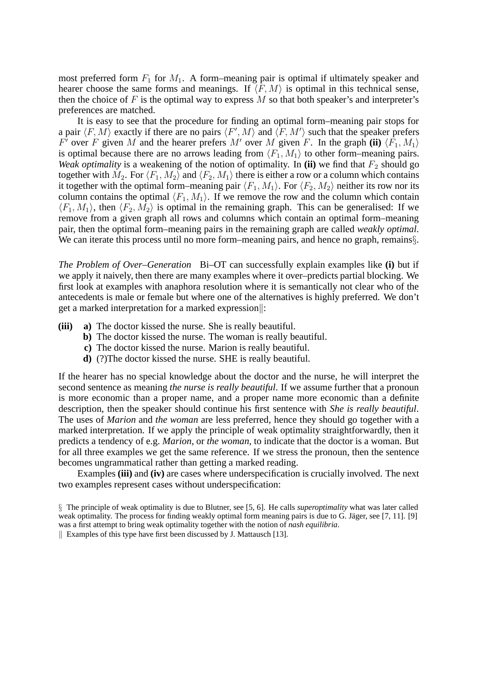most preferred form  $F_1$  for  $M_1$ . A form–meaning pair is optimal if ultimately speaker and hearer choose the same forms and meanings. If  $\langle F, M \rangle$  is optimal in this technical sense, then the choice of  $F$  is the optimal way to express  $M$  so that both speaker's and interpreter's preferences are matched.

It is easy to see that the procedure for finding an optimal form–meaning pair stops for a pair  $\langle F, M \rangle$  exactly if there are no pairs  $\langle F', M \rangle$  and  $\langle F, M' \rangle$  such that the speaker prefers F' over F given M and the hearer prefers M' over M given F. In the graph (ii)  $\langle F_1, M_1 \rangle$ is optimal because there are no arrows leading from  $\langle F_1, M_1 \rangle$  to other form–meaning pairs. *Weak optimality* is a weakening of the notion of optimality. In (ii) we find that  $F_2$  should go together with  $M_2$ . For  $\langle F_1, M_2 \rangle$  and  $\langle F_2, M_1 \rangle$  there is either a row or a column which contains it together with the optimal form–meaning pair  $\langle F_1, M_1 \rangle$ . For  $\langle F_2, M_2 \rangle$  neither its row nor its column contains the optimal  $\langle F_1, M_1 \rangle$ . If we remove the row and the column which contain  $\langle F_1, M_1 \rangle$ , then  $\langle F_2, M_2 \rangle$  is optimal in the remaining graph. This can be generalised: If we remove from a given graph all rows and columns which contain an optimal form–meaning pair, then the optimal form–meaning pairs in the remaining graph are called *weakly optimal*. We can iterate this process until no more form–meaning pairs, and hence no graph, remains§.

*The Problem of Over–Generation* Bi–OT can successfully explain examples like **(i)** but if we apply it naively, then there are many examples where it over–predicts partial blocking. We first look at examples with anaphora resolution where it is semantically not clear who of the antecedents is male or female but where one of the alternatives is highly preferred. We don't get a marked interpretation for a marked expression $\|$ :

- **(iii) a)** The doctor kissed the nurse. She is really beautiful.
	- **b)** The doctor kissed the nurse. The woman is really beautiful.
	- **c)** The doctor kissed the nurse. Marion is really beautiful.
	- **d)** (?)The doctor kissed the nurse. SHE is really beautiful.

If the hearer has no special knowledge about the doctor and the nurse, he will interpret the second sentence as meaning *the nurse is really beautiful*. If we assume further that a pronoun is more economic than a proper name, and a proper name more economic than a definite description, then the speaker should continue his first sentence with *She is really beautiful*. The uses of *Marion* and *the woman* are less preferred, hence they should go together with a marked interpretation. If we apply the principle of weak optimality straightforwardly, then it predicts a tendency of e.g. *Marion*, or *the woman*, to indicate that the doctor is a woman. But for all three examples we get the same reference. If we stress the pronoun, then the sentence becomes ungrammatical rather than getting a marked reading.

Examples **(iii)** and **(iv)** are cases where underspecification is crucially involved. The next two examples represent cases without underspecification:

<sup>§</sup> The principle of weak optimality is due to Blutner, see [5, 6]. He calls *superoptimality* what was later called weak optimality. The process for finding weakly optimal form meaning pairs is due to G. Jäger, see [7, 11]. [9] was a first attempt to bring weak optimality together with the notion of *nash equilibria*.

Examples of this type have first been discussed by J. Mattausch [13].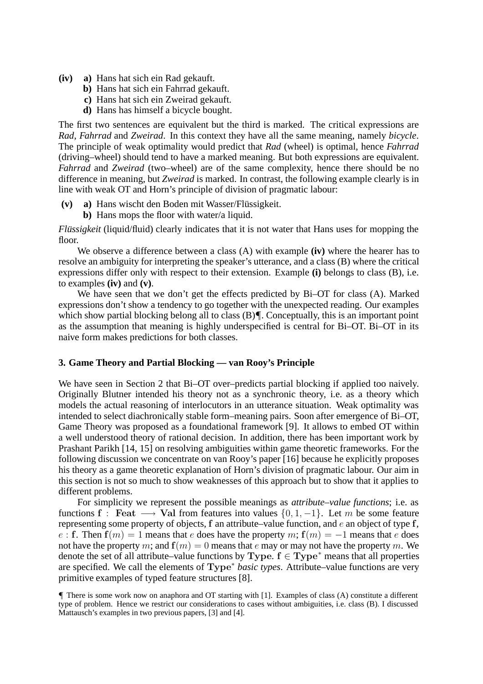- **(iv) a)** Hans hat sich ein Rad gekauft.
	- **b)** Hans hat sich ein Fahrrad gekauft.
	- **c)** Hans hat sich ein Zweirad gekauft.
	- **d)** Hans has himself a bicycle bought.

The first two sentences are equivalent but the third is marked. The critical expressions are *Rad*, *Fahrrad* and *Zweirad*. In this context they have all the same meaning, namely *bicycle*. The principle of weak optimality would predict that *Rad* (wheel) is optimal, hence *Fahrrad* (driving–wheel) should tend to have a marked meaning. But both expressions are equivalent. *Fahrrad* and *Zweirad* (two–wheel) are of the same complexity, hence there should be no difference in meaning, but *Zweirad* is marked. In contrast, the following example clearly is in line with weak OT and Horn's principle of division of pragmatic labour:

- (v) a) Hans wischt den Boden mit Wasser/Flüssigkeit.
	- **b)** Hans mops the floor with water/a liquid.

*Flussigkeit* (liquid/fluid) clearly indicates that it is not water that Hans uses for mopping the floor.

We observe a difference between a class (A) with example **(iv)** where the hearer has to resolve an ambiguity for interpreting the speaker's utterance, and a class (B) where the critical expressions differ only with respect to their extension. Example **(i)** belongs to class (B), i.e. to examples **(iv)** and **(v)**.

We have seen that we don't get the effects predicted by Bi–OT for class (A). Marked expressions don't show a tendency to go together with the unexpected reading. Our examples which show partial blocking belong all to class (B). Conceptually, this is an important point as the assumption that meaning is highly underspecified is central for Bi–OT. Bi–OT in its naive form makes predictions for both classes.

#### **3. Game Theory and Partial Blocking — van Rooy's Principle**

We have seen in Section 2 that Bi–OT over–predicts partial blocking if applied too naively. Originally Blutner intended his theory not as a synchronic theory, i.e. as a theory which models the actual reasoning of interlocutors in an utterance situation. Weak optimality was intended to select diachronically stable form–meaning pairs. Soon after emergence of Bi–OT, Game Theory was proposed as a foundational framework [9]. It allows to embed OT within a well understood theory of rational decision. In addition, there has been important work by Prashant Parikh [14, 15] on resolving ambiguities within game theoretic frameworks. For the following discussion we concentrate on van Rooy's paper [16] because he explicitly proposes his theory as a game theoretic explanation of Horn's division of pragmatic labour. Our aim in this section is not so much to show weaknesses of this approach but to show that it applies to different problems.

For simplicity we represent the possible meanings as *attribute–value functions*; i.e. as functions **f** : **Feat**  $\longrightarrow$  **Val** from features into values {0, 1, -1}. Let m be some feature representing some property of objects, **f** an attribute–value function, and e an object of type **f**, e : **f**. Then  $f(m) = 1$  means that e does have the property m;  $f(m) = -1$  means that e does not have the property m; and  $f(m)=0$  means that e may or may not have the property m. We denote the set of all attribute–value functions by **Type**.  $f \in Type^*$  means that all properties are specified. We call the elements of **Type**<sup>∗</sup> *basic types*. Attribute–value functions are very primitive examples of typed feature structures [8].

<sup>¶</sup> There is some work now on anaphora and OT starting with [1]. Examples of class (A) constitute a different type of problem. Hence we restrict our considerations to cases without ambiguities, i.e. class (B). I discussed Mattausch's examples in two previous papers, [3] and [4].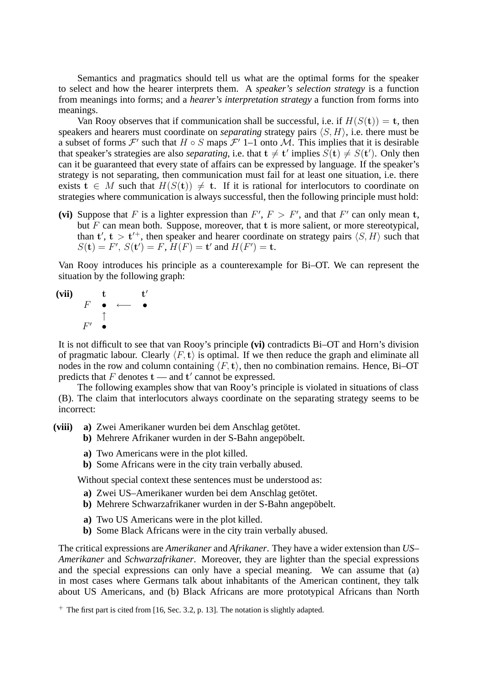Semantics and pragmatics should tell us what are the optimal forms for the speaker to select and how the hearer interprets them. A *speaker's selection strategy* is a function from meanings into forms; and a *hearer's interpretation strategy* a function from forms into meanings.

Van Rooy observes that if communication shall be successful, i.e. if  $H(S(t)) = t$ , then speakers and hearers must coordinate on *separating* strategy pairs  $\langle S, H \rangle$ , i.e. there must be a subset of forms  $\mathcal{F}'$  such that  $H \circ S$  maps  $\mathcal{F}'$  1–1 onto  $\mathcal{M}$ . This implies that it is desirable that speaker's strategies are also *separating*, i.e. that  $t \neq t'$  implies  $S(t) \neq S(t')$ . Only then can it be guaranteed that every state of affairs can be expressed by language. If the speaker's strategy is not separating, then communication must fail for at least one situation, i.e. there exists  $\mathbf{t} \in M$  such that  $H(S(\mathbf{t})) \neq \mathbf{t}$ . If it is rational for interlocutors to coordinate on strategies where communication is always successful, then the following principle must hold:

(vi) Suppose that F is a lighter expression than  $F'$ ,  $F > F'$ , and that F' can only mean t, but F can mean both. Suppose, moreover, that **t** is more salient, or more stereotypical, than  $t'$ ,  $t > t'^+$ , then speaker and hearer coordinate on strategy pairs  $\langle S, H \rangle$  such that  $S(\mathbf{t}) = F', S(\mathbf{t}') = F, H(F) = \mathbf{t}'$  and  $H(F') = \mathbf{t}$ .

Van Rooy introduces his principle as a counterexample for Bi–OT. We can represent the situation by the following graph:



It is not difficult to see that van Rooy's principle **(vi)** contradicts Bi–OT and Horn's division of pragmatic labour. Clearly  $\langle F, \mathbf{t} \rangle$  is optimal. If we then reduce the graph and eliminate all nodes in the row and column containing  $\langle F, \mathbf{t} \rangle$ , then no combination remains. Hence, Bi–OT predicts that  $F$  denotes  $t$  — and  $t'$  cannot be expressed.

The following examples show that van Rooy's principle is violated in situations of class (B). The claim that interlocutors always coordinate on the separating strategy seems to be incorrect:

- (viii) a) Zwei Amerikaner wurden bei dem Anschlag getötet.
	- **b**) Mehrere Afrikaner wurden in der S-Bahn angepöbelt.
		- **a)** Two Americans were in the plot killed.
		- **b)** Some Africans were in the city train verbally abused.

Without special context these sentences must be understood as:

- a) Zwei US–Amerikaner wurden bei dem Anschlag getötet.
- **b**) Mehrere Schwarzafrikaner wurden in der S-Bahn angepöbelt.
- **a)** Two US Americans were in the plot killed.
- **b)** Some Black Africans were in the city train verbally abused.

The critical expressions are *Amerikaner* and *Afrikaner*. They have a wider extension than *US– Amerikaner* and *Schwarzafrikaner*. Moreover, they are lighter than the special expressions and the special expressions can only have a special meaning. We can assume that (a) in most cases where Germans talk about inhabitants of the American continent, they talk about US Americans, and (b) Black Africans are more prototypical Africans than North

<sup>+</sup> The first part is cited from [16, Sec. 3.2, p. 13]. The notation is slightly adapted.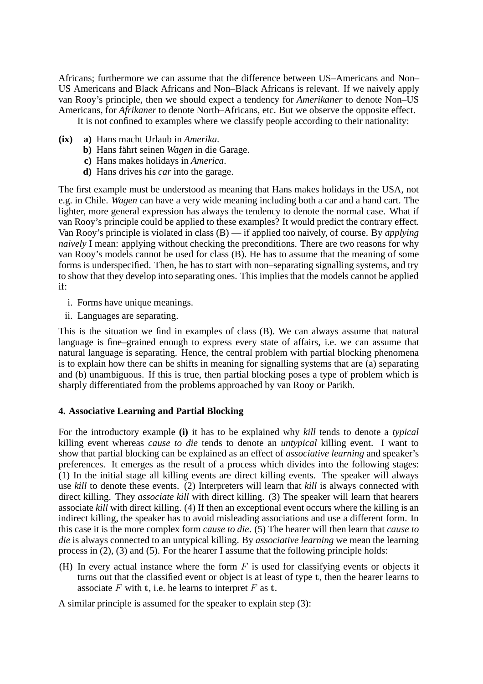Africans; furthermore we can assume that the difference between US–Americans and Non– US Americans and Black Africans and Non–Black Africans is relevant. If we naively apply van Rooy's principle, then we should expect a tendency for *Amerikaner* to denote Non–US Americans, for *Afrikaner* to denote North–Africans, etc. But we observe the opposite effect.

It is not confined to examples where we classify people according to their nationality:

- **(ix) a)** Hans macht Urlaub in *Amerika*.
	- **b**) Hans fährt seinen *Wagen* in die Garage.
	- **c)** Hans makes holidays in *America*.
	- **d)** Hans drives his *car* into the garage.

The first example must be understood as meaning that Hans makes holidays in the USA, not e.g. in Chile. *Wagen* can have a very wide meaning including both a car and a hand cart. The lighter, more general expression has always the tendency to denote the normal case. What if van Rooy's principle could be applied to these examples? It would predict the contrary effect. Van Rooy's principle is violated in class (B) — if applied too naively, of course. By *applying naively* I mean: applying without checking the preconditions. There are two reasons for why van Rooy's models cannot be used for class (B). He has to assume that the meaning of some forms is underspecified. Then, he has to start with non–separating signalling systems, and try to show that they develop into separating ones. This implies that the models cannot be applied if:

- i. Forms have unique meanings.
- ii. Languages are separating.

This is the situation we find in examples of class (B). We can always assume that natural language is fine–grained enough to express every state of affairs, i.e. we can assume that natural language is separating. Hence, the central problem with partial blocking phenomena is to explain how there can be shifts in meaning for signalling systems that are (a) separating and (b) unambiguous. If this is true, then partial blocking poses a type of problem which is sharply differentiated from the problems approached by van Rooy or Parikh.

## **4. Associative Learning and Partial Blocking**

For the introductory example **(i)** it has to be explained why *kill* tends to denote a *typical* killing event whereas *cause to die* tends to denote an *untypical* killing event. I want to show that partial blocking can be explained as an effect of *associative learning* and speaker's preferences. It emerges as the result of a process which divides into the following stages: (1) In the initial stage all killing events are direct killing events. The speaker will always use *kill* to denote these events. (2) Interpreters will learn that *kill* is always connected with direct killing. They *associate kill* with direct killing. (3) The speaker will learn that hearers associate *kill* with direct killing. (4) If then an exceptional event occurs where the killing is an indirect killing, the speaker has to avoid misleading associations and use a different form. In this case it is the more complex form *cause to die*. (5) The hearer will then learn that *cause to die* is always connected to an untypical killing. By *associative learning* we mean the learning process in (2), (3) and (5). For the hearer I assume that the following principle holds:

(H) In every actual instance where the form  $F$  is used for classifying events or objects it turns out that the classified event or object is at least of type **t**, then the hearer learns to associate F with **t**, i.e. he learns to interpret F as **t**.

A similar principle is assumed for the speaker to explain step (3):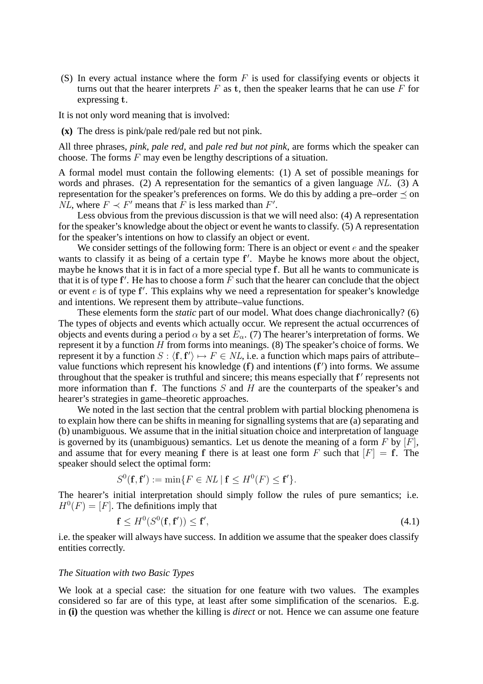(S) In every actual instance where the form  $F$  is used for classifying events or objects it turns out that the hearer interprets  $F$  as  $t$ , then the speaker learns that he can use  $F$  for expressing **t**.

It is not only word meaning that is involved:

**(x)** The dress is pink/pale red/pale red but not pink.

All three phrases, *pink*, *pale red*, and *pale red but not pink*, are forms which the speaker can choose. The forms  $F$  may even be lengthy descriptions of a situation.

A formal model must contain the following elements: (1) A set of possible meanings for words and phrases. (2) A representation for the semantics of a given language *NL*. (3) A representation for the speaker's preferences on forms. We do this by adding a pre–order  $\preceq$  on *NL*, where  $F \prec F'$  means that F is less marked than F'.

Less obvious from the previous discussion is that we will need also: (4) A representation for the speaker's knowledge about the object or event he wants to classify. (5) A representation for the speaker's intentions on how to classify an object or event.

We consider settings of the following form: There is an object or event  $e$  and the speaker wants to classify it as being of a certain type **f** . Maybe he knows more about the object, maybe he knows that it is in fact of a more special type **f**. But all he wants to communicate is that it is of type  ${\bf f}'$ . He has to choose a form  $F$  such that the hearer can conclude that the object or event e is of type **f** . This explains why we need a representation for speaker's knowledge and intentions. We represent them by attribute–value functions.

These elements form the *static* part of our model. What does change diachronically? (6) The types of objects and events which actually occur. We represent the actual occurrences of objects and events during a period  $\alpha$  by a set  $E_{\alpha}$ . (7) The hearer's interpretation of forms. We represent it by a function  $H$  from forms into meanings. (8) The speaker's choice of forms. We represent it by a function  $S : \langle f, f' \rangle \mapsto F \in NL$ , i.e. a function which maps pairs of attribute– value functions which represent his knowledge (**f**) and intentions (**f** ) into forms. We assume throughout that the speaker is truthful and sincere; this means especially that f' represents not more information than **f**. The functions S and H are the counterparts of the speaker's and hearer's strategies in game–theoretic approaches.

We noted in the last section that the central problem with partial blocking phenomena is to explain how there can be shifts in meaning for signalling systems that are (a) separating and (b) unambiguous. We assume that in the initial situation choice and interpretation of language is governed by its (unambiguous) semantics. Let us denote the meaning of a form  $F$  by  $[F]$ , and assume that for every meaning **f** there is at least one form F such that  $[F] = \mathbf{f}$ . The speaker should select the optimal form:

$$
S^{0}(\mathbf{f}, \mathbf{f}') := \min\{F \in NL \mid \mathbf{f} \leq H^{0}(F) \leq \mathbf{f}'\}.
$$

The hearer's initial interpretation should simply follow the rules of pure semantics; i.e.  $H^0(F)=[F]$ . The definitions imply that

$$
\mathbf{f} \le H^0(S^0(\mathbf{f}, \mathbf{f}')) \le \mathbf{f}',\tag{4.1}
$$

i.e. the speaker will always have success. In addition we assume that the speaker does classify entities correctly.

#### *The Situation with two Basic Types*

We look at a special case: the situation for one feature with two values. The examples considered so far are of this type, at least after some simplification of the scenarios. E.g. in **(i)** the question was whether the killing is *direct* or not. Hence we can assume one feature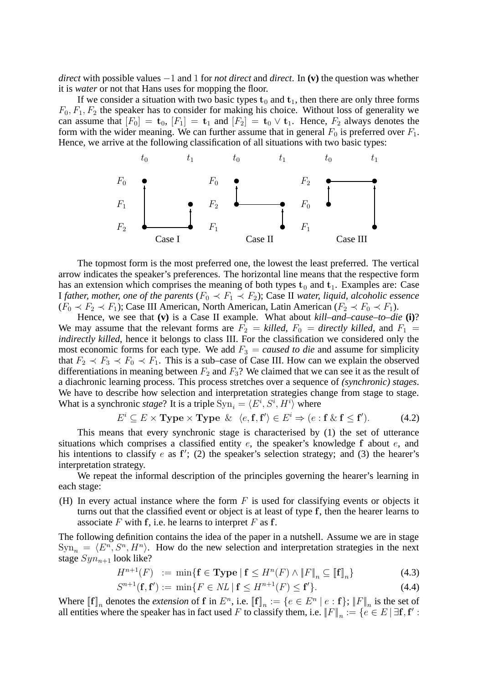*direct* with possible values −1 and 1 for *not direct* and *direct*. In **(v)** the question was whether it is *water* or not that Hans uses for mopping the floor.

If we consider a situation with two basic types  $t_0$  and  $t_1$ , then there are only three forms  $F_0$ ,  $F_1$ ,  $F_2$  the speaker has to consider for making his choice. Without loss of generality we can assume that  $[F_0] = \mathbf{t}_0$ ,  $[F_1] = \mathbf{t}_1$  and  $[F_2] = \mathbf{t}_0 \vee \mathbf{t}_1$ . Hence,  $F_2$  always denotes the form with the wider meaning. We can further assume that in general  $F_0$  is preferred over  $F_1$ . Hence, we arrive at the following classification of all situations with two basic types:



The topmost form is the most preferred one, the lowest the least preferred. The vertical arrow indicates the speaker's preferences. The horizontal line means that the respective form has an extension which comprises the meaning of both types  $t_0$  and  $t_1$ . Examples are: Case *I father, mother, one of the parents* ( $F_0 \prec F_1 \prec F_2$ ); Case II *water, liquid, alcoholic essence*  $(F_0 \prec F_2 \prec F_1)$ ; Case III American, North American, Latin American  $(F_2 \prec F_0 \prec F_1)$ .

Hence, we see that **(v)** is a Case II example. What about *kill–and–cause–to–die* **(i)**? We may assume that the relevant forms are  $F_2 =$  *killed*,  $F_0 =$  *directly killed*, and  $F_1 =$ *indirectly killed*, hence it belongs to class III. For the classification we considered only the most economic forms for each type. We add  $F_3 = caused to die$  and assume for simplicity that  $F_2 \prec F_3 \prec F_0 \prec F_1$ . This is a sub–case of Case III. How can we explain the observed differentiations in meaning between  $F_2$  and  $F_3$ ? We claimed that we can see it as the result of a diachronic learning process. This process stretches over a sequence of *(synchronic) stages*. We have to describe how selection and interpretation strategies change from stage to stage. What is a synchronic *stage*? It is a triple  $\text{Syn}_i = \langle E^i, S^i, H^i \rangle$  where

$$
E^i \subseteq E \times \text{Type} \times \text{Type} \ \& \ \langle e, \mathbf{f}, \mathbf{f}' \rangle \in E^i \Rightarrow (e : \mathbf{f} \ \& \ \mathbf{f} \leq \mathbf{f}'). \tag{4.2}
$$

This means that every synchronic stage is characterised by (1) the set of utterance situations which comprises a classified entity e, the speaker's knowledge **f** about e, and his intentions to classify e as **f** ; (2) the speaker's selection strategy; and (3) the hearer's interpretation strategy.

We repeat the informal description of the principles governing the hearer's learning in each stage:

(H) In every actual instance where the form  $F$  is used for classifying events or objects it turns out that the classified event or object is at least of type **f**, then the hearer learns to associate F with **f**, i.e. he learns to interpret F as **f**.

The following definition contains the idea of the paper in a nutshell. Assume we are in stage  $\text{Sym}_n = \langle E^n, S^n, H^n \rangle$ . How do the new selection and interpretation strategies in the next stage  $Syn_{n+1}$  look like?

$$
H^{n+1}(F) := \min\{\mathbf{f} \in \mathbf{Type} \mid \mathbf{f} \le H^n(F) \land \|F\|_n \subseteq [\![\mathbf{f}]\!]_n\} \tag{4.3}
$$

$$
S^{n+1}(\mathbf{f}, \mathbf{f}') := \min\{F \in NL \mid \mathbf{f} \le H^{n+1}(F) \le \mathbf{f}'\}.
$$
 (4.4)

Where  $[\![\mathbf{f}]\!]_n$  denotes the *extension* of **f** in  $E^n$ , i.e.  $[\![\mathbf{f}]\!]_n := \{e \in E^n \mid e : \mathbf{f}\}$ ;  $||F||_n$  is the set of all entities where the speaker has in fact used F to classify them, i.e.  $||F||_n := \{e \in E \mid \exists f, f' :$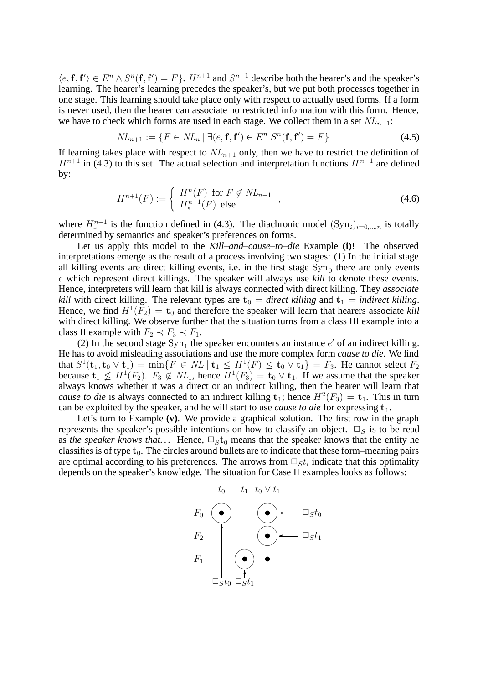$\langle e, \mathbf{f}, \mathbf{f}' \rangle \in E^n \wedge S^n(\mathbf{f}, \mathbf{f}') = F \}.$   $H^{n+1}$  and  $S^{n+1}$  describe both the hearer's and the speaker's learning. The hearer's learning precedes the speaker's, but we put both processes together in one stage. This learning should take place only with respect to actually used forms. If a form is never used, then the hearer can associate no restricted information with this form. Hence, we have to check which forms are used in each stage. We collect them in a set  $NL_{n+1}$ :

$$
NL_{n+1} := \{ F \in NL_n \mid \exists (e, \mathbf{f}, \mathbf{f}') \in E^n \ S^n(\mathbf{f}, \mathbf{f}') = F \}
$$
(4.5)

If learning takes place with respect to  $NL_{n+1}$  only, then we have to restrict the definition of  $H^{n+1}$  in (4.3) to this set. The actual selection and interpretation functions  $H^{n+1}$  are defined by:

$$
H^{n+1}(F) := \begin{cases} H^n(F) & \text{for } F \notin NL_{n+1} \\ H^{n+1}_*(F) & \text{else} \end{cases}
$$
 (4.6)

where  $H^{n+1}_{*}$  is the function defined in (4.3). The diachronic model  $(\text{Syn}_i)_{i=0,\dots,n}$  is totally determined by semantics and speaker's preferences on forms.

Let us apply this model to the *Kill–and–cause–to–die* Example **(i)**! The observed interpretations emerge as the result of a process involving two stages: (1) In the initial stage all killing events are direct killing events, i.e. in the first stage  $\text{Syn}_0$  there are only events e which represent direct killings. The speaker will always use *kill* to denote these events. Hence, interpreters will learn that kill is always connected with direct killing. They *associate kill* with direct killing. The relevant types are  $t_0 =$  *direct killing* and  $t_1 =$  *indirect killing*. Hence, we find  $H^1(F_2) = t_0$  and therefore the speaker will learn that hearers associate *kill* with direct killing. We observe further that the situation turns from a class III example into a class II example with  $F_2 \prec F_3 \prec F_1$ .

(2) In the second stage  $\text{Syn}_1$  the speaker encounters an instance e' of an indirect killing. He has to avoid misleading associations and use the more complex form *cause to die*. We find that  $S^1$ (**t**<sub>1</sub>, **t**<sub>0</sub> ∨ **t**<sub>1</sub>) = min{ $F ∈ NL |$  **t**<sub>1</sub> ≤  $H^1(F) ≤$  **t**<sub>0</sub> ∨ **t**<sub>1</sub>} =  $F_3$ . He cannot select  $F_2$ because  $\mathbf{t}_1 \nleq H^1(F_2)$ .  $F_3 \notin NL_1$ , hence  $H^1(F_3) = \mathbf{t}_0 \vee \mathbf{t}_1$ . If we assume that the speaker always knows whether it was a direct or an indirect killing, then the hearer will learn that *cause to die* is always connected to an indirect killing  $t_1$ ; hence  $H^2(F_3) = t_1$ . This in turn can be exploited by the speaker, and he will start to use *cause to die* for expressing **t**1.

Let's turn to Example **(v)**. We provide a graphical solution. The first row in the graph represents the speaker's possible intentions on how to classify an object.  $\square_S$  is to be read as *the speaker knows that...* Hence,  $\Box_S t_0$  means that the speaker knows that the entity he classifies is of type  $t_0$ . The circles around bullets are to indicate that these form–meaning pairs are optimal according to his preferences. The arrows from  $\Box_s t_i$  indicate that this optimality depends on the speaker's knowledge. The situation for Case II examples looks as follows:

$$
t_0 \quad t_1 \quad t_0 \vee t_1
$$
\n
$$
F_0 \quad \bullet \quad \bullet \quad \square_{st_0}
$$
\n
$$
F_2 \quad \bullet \quad \square_{st_1}
$$
\n
$$
F_1 \quad \bullet \quad \bullet \quad \square_{st_1}
$$
\n
$$
\bullet \quad \bullet \quad \square_{st_2}
$$
\n
$$
\square_{st_0} \quad \square_{st_1}
$$